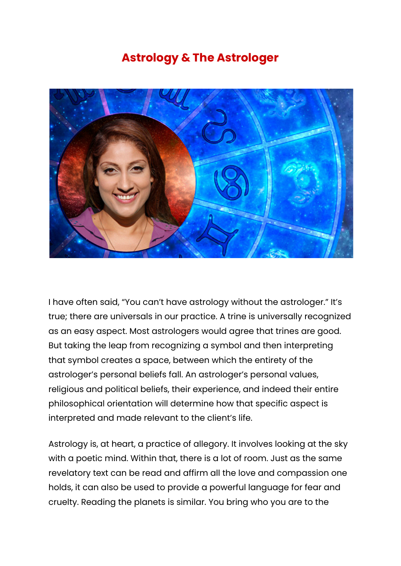## **Astrology & The Astrologer**



I have often said, "You can't have astrology without the astrologer." It's true; there are universals in our practice. A trine is universally recognized as an easy aspect. Most astrologers would agree that trines are good. But taking the leap from recognizing a symbol and then interpreting that symbol creates a space, between which the entirety of the astrologer's personal beliefs fall. An astrologer's personal values, religious and political beliefs, their experience, and indeed their entire philosophical orientation will determine how that specific aspect is interpreted and made relevant to the client's life.

Astrology is, at heart, a practice of allegory. It involves looking at the sky with a poetic mind. Within that, there is a lot of room. Just as the same revelatory text can be read and affirm all the love and compassion one holds, it can also be used to provide a powerful language for fear and cruelty. Reading the planets is similar. You bring who you are to the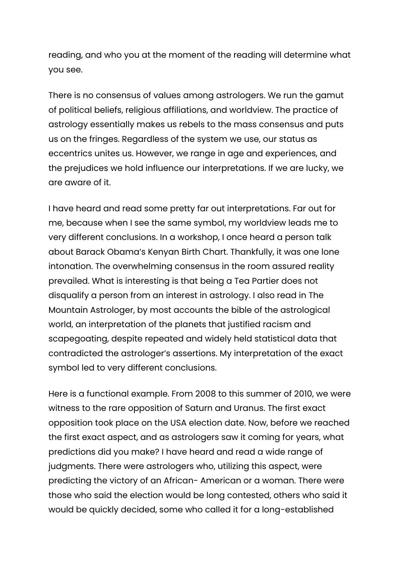reading, and who you at the moment of the reading will determine what you see.

There is no consensus of values among astrologers. We run the gamut of political beliefs, religious affiliations, and worldview. The practice of astrology essentially makes us rebels to the mass consensus and puts us on the fringes. Regardless of the system we use, our status as eccentrics unites us. However, we range in age and experiences, and the prejudices we hold influence our interpretations. If we are lucky, we are aware of it.

I have heard and read some pretty far out interpretations. Far out for me, because when I see the same symbol, my worldview leads me to very different conclusions. In a workshop, I once heard a person talk about Barack Obama's Kenyan Birth Chart. Thankfully, it was one lone intonation. The overwhelming consensus in the room assured reality prevailed. What is interesting is that being a Tea Partier does not disqualify a person from an interest in astrology. I also read in The Mountain Astrologer, by most accounts the bible of the astrological world, an interpretation of the planets that justified racism and scapegoating, despite repeated and widely held statistical data that contradicted the astrologer's assertions. My interpretation of the exact symbol led to very different conclusions.

Here is a functional example. From 2008 to this summer of 2010, we were witness to the rare opposition of Saturn and Uranus. The first exact opposition took place on the USA election date. Now, before we reached the first exact aspect, and as astrologers saw it coming for years, what predictions did you make? I have heard and read a wide range of judgments. There were astrologers who, utilizing this aspect, were predicting the victory of an African- American or a woman. There were those who said the election would be long contested, others who said it would be quickly decided, some who called it for a long-established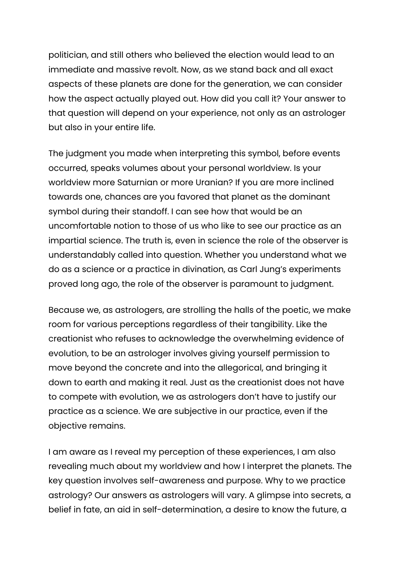politician, and still others who believed the election would lead to an immediate and massive revolt. Now, as we stand back and all exact aspects of these planets are done for the generation, we can consider how the aspect actually played out. How did you call it? Your answer to that question will depend on your experience, not only as an astrologer but also in your entire life.

The judgment you made when interpreting this symbol, before events occurred, speaks volumes about your personal worldview. Is your worldview more Saturnian or more Uranian? If you are more inclined towards one, chances are you favored that planet as the dominant symbol during their standoff. I can see how that would be an uncomfortable notion to those of us who like to see our practice as an impartial science. The truth is, even in science the role of the observer is understandably called into question. Whether you understand what we do as a science or a practice in divination, as Carl Jung's experiments proved long ago, the role of the observer is paramount to judgment.

Because we, as astrologers, are strolling the halls of the poetic, we make room for various perceptions regardless of their tangibility. Like the creationist who refuses to acknowledge the overwhelming evidence of evolution, to be an astrologer involves giving yourself permission to move beyond the concrete and into the allegorical, and bringing it down to earth and making it real. Just as the creationist does not have to compete with evolution, we as astrologers don't have to justify our practice as a science. We are subjective in our practice, even if the objective remains.

I am aware as I reveal my perception of these experiences, I am also revealing much about my worldview and how I interpret the planets. The key question involves self-awareness and purpose. Why to we practice astrology? Our answers as astrologers will vary. A glimpse into secrets, a belief in fate, an aid in self-determination, a desire to know the future, a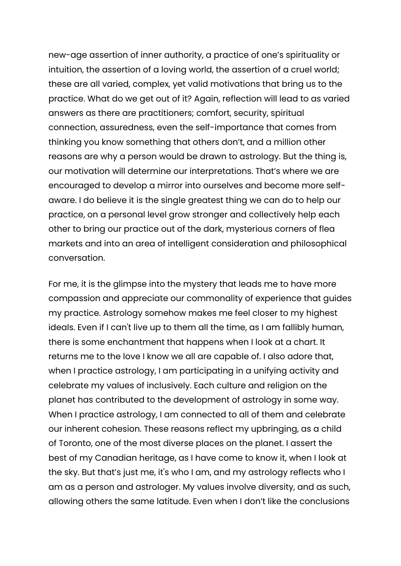new-age assertion of inner authority, a practice of one's spirituality or intuition, the assertion of a loving world, the assertion of a cruel world; these are all varied, complex, yet valid motivations that bring us to the practice. What do we get out of it? Again, reflection will lead to as varied answers as there are practitioners; comfort, security, spiritual connection, assuredness, even the self-importance that comes from thinking you know something that others don't, and a million other reasons are why a person would be drawn to astrology. But the thing is, our motivation will determine our interpretations. That's where we are encouraged to develop a mirror into ourselves and become more selfaware. I do believe it is the single greatest thing we can do to help our practice, on a personal level grow stronger and collectively help each other to bring our practice out of the dark, mysterious corners of flea markets and into an area of intelligent consideration and philosophical conversation.

For me, it is the glimpse into the mystery that leads me to have more compassion and appreciate our commonality of experience that guides my practice. Astrology somehow makes me feel closer to my highest ideals. Even if I can't live up to them all the time, as I am fallibly human, there is some enchantment that happens when I look at a chart. It returns me to the love I know we all are capable of. I also adore that, when I practice astrology, I am participating in a unifying activity and celebrate my values of inclusively. Each culture and religion on the planet has contributed to the development of astrology in some way. When I practice astrology, I am connected to all of them and celebrate our inherent cohesion. These reasons reflect my upbringing, as a child of Toronto, one of the most diverse places on the planet. I assert the best of my Canadian heritage, as I have come to know it, when I look at the sky. But that's just me, it's who I am, and my astrology reflects who I am as a person and astrologer. My values involve diversity, and as such, allowing others the same latitude. Even when I don't like the conclusions